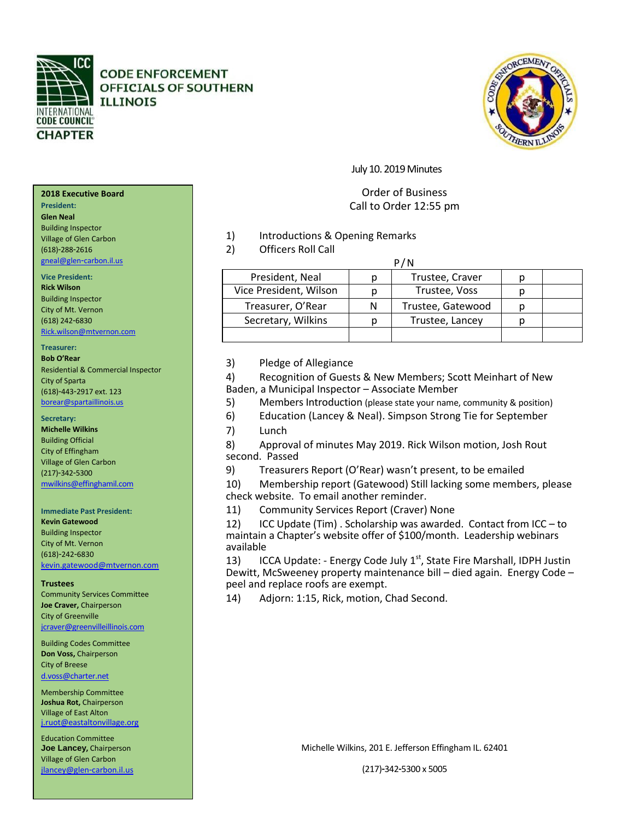

**CODE ENFORCEMENT** OFFICIALS OF SOUTHERN **ILLINOIS** 



## July 10. 2019 Minutes

# Order of Business Call to Order 12:55 pm

- 1) Introductions & Opening Remarks
- 2) Officers Roll Call

| F / IV                 |   |                   |  |  |
|------------------------|---|-------------------|--|--|
| President, Neal        |   | Trustee, Craver   |  |  |
| Vice President, Wilson |   | Trustee, Voss     |  |  |
| Treasurer, O'Rear      | N | Trustee, Gatewood |  |  |
| Secretary, Wilkins     |   | Trustee, Lancey   |  |  |
|                        |   |                   |  |  |

**P/11** 

3) Pledge of Allegiance

4) Recognition of Guests & New Members; Scott Meinhart of New Baden, a Municipal Inspector – Associate Member

- 5) Members Introduction (please state your name, community & position)
- 6) Education (Lancey & Neal). Simpson Strong Tie for September
- 7) Lunch

8) Approval of minutes May 2019. Rick Wilson motion, Josh Rout second. Passed

9) Treasurers Report (O'Rear) wasn't present, to be emailed

10) Membership report (Gatewood) Still lacking some members, please check website. To email another reminder.

11) Community Services Report (Craver) None

12) ICC Update (Tim) . Scholarship was awarded. Contact from ICC – to maintain a Chapter's website offer of \$100/month. Leadership webinars available

13) ICCA Update: - Energy Code July  $1<sup>st</sup>$ , State Fire Marshall, IDPH Justin Dewitt, McSweeney property maintenance bill – died again. Energy Code – peel and replace roofs are exempt.

14) Adjorn: 1:15, Rick, motion, Chad Second.

**2018 Executive Board** 

# **President:**

**Glen Neal** Building Inspector Village of Glen Carbon

(618)-288-2616 [gneal@glen](mailto:gneal@glen-carbon.il.us)-carbon.il.us

### **Vice President:**

**Rick Wilson** Building Inspector City of Mt. Vernon (618) 242-6830 [Rick.wilson@mtvernon.com](mailto:Rick.wilson@mtvernon.com)

### **Treasurer:**

**Bob O'Rear** Residential & Commercial Inspector City of Sparta (618)-443-2917 ext. 123 [borear@spartaillinois.us](mailto:borear@spartaillinois.us)

### **Secretary:**

**Michelle Wilkins** Building Official City of Effingham Village of Glen Carbon (217)-342-5300 [mwilkins@effinghamil.com](mailto:mwilkins@effinghamil.com)

### **Immediate Past President:**

**Kevin Gatewood**  Building Inspector City of Mt. Vernon (618)-242-6830 [kevin.gatewood@mtvernon.com](mailto:kevin.gatewood@mtvernon.com)

**Trustees**

Community Services Committee **Joe Craver,** Chairperson City of Greenville [jcraver@greenvilleillinois.com](mailto:jcraver@greenvilleillinois.com)

Building Codes Committee **Don Voss,** Chairperson City of Breese [d.voss@charter.net](mailto:d.voss@charter.net)

Membership Committee **Joshua Rot,** Chairperson Village of East Alton [j.ruot@eastaltonvillage.org](mailto:j.ruot@eastaltonvillage.org)

Education Committee **Joe Lancey,** Chairperson Village of Glen Carbon [jlancey@glen](mailto:jlancey@glen-carbon.il.us)-carbon.il.us

Michelle Wilkins, 201 E. Jefferson Effingham IL. 62401

(217)-342-5300 x 5005